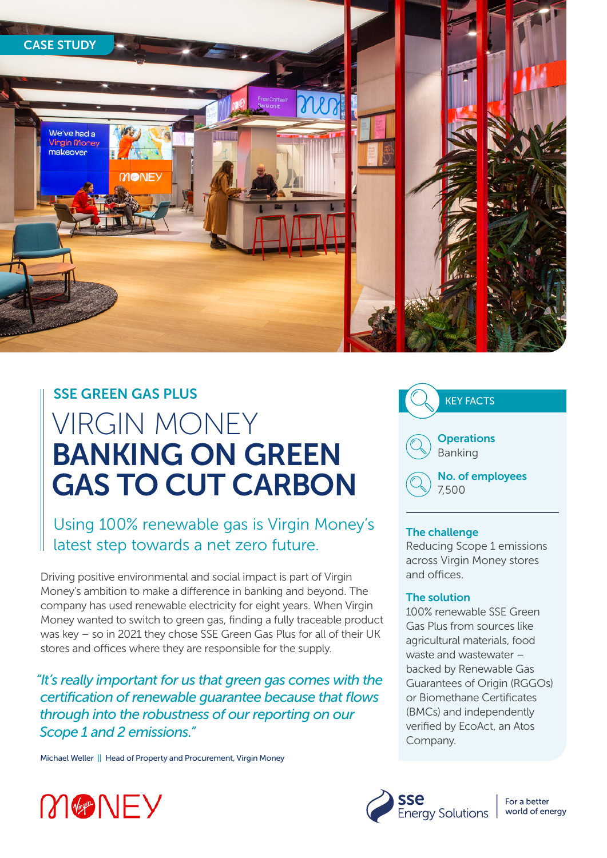

### SSE GREEN GAS PLUS

# VIRGIN MONEY BANKING ON GREEN GAS TO CUT CARBON

Using 100% renewable gas is Virgin Money's latest step towards a net zero future.

Driving positive environmental and social impact is part of Virgin Money's ambition to make a difference in banking and beyond. The company has used renewable electricity for eight years. When Virgin Money wanted to switch to green gas, finding a fully traceable product was key – so in 2021 they chose SSE Green Gas Plus for all of their UK stores and offices where they are responsible for the supply.

*"It's really important for us that green gas comes with the certification of renewable guarantee because that flows through into the robustness of our reporting on our Scope 1 and 2 emissions."*

Michael Weller || Head of Property and Procurement, Virgin Money



#### The challenge

Reducing Scope 1 emissions across Virgin Money stores and offices.

#### The solution

100% renewable SSE Green Gas Plus from sources like agricultural materials, food waste and wastewater – backed by Renewable Gas Guarantees of Origin (RGGOs) or Biomethane Certificates (BMCs) and independently verified by EcoAct, an Atos Company.